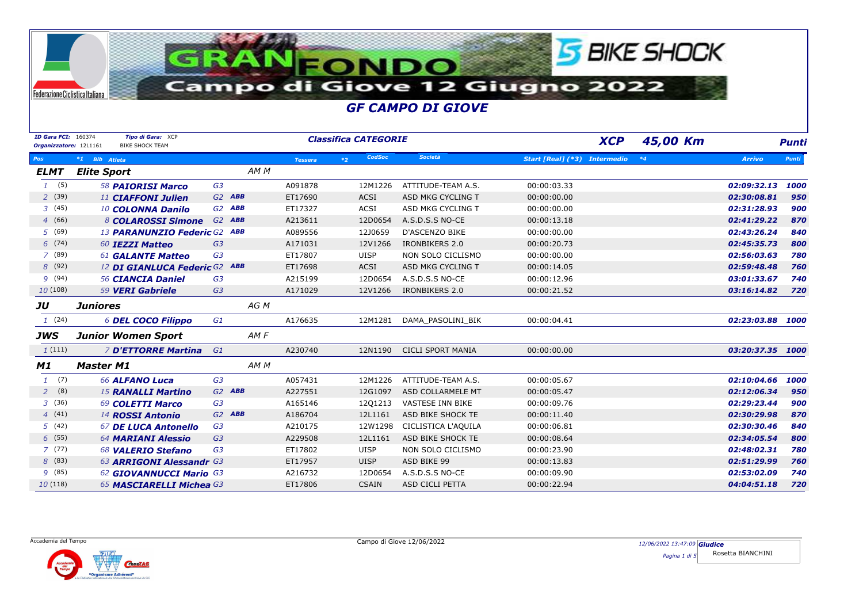

| <b>ID Gara FCI: 160374</b><br>Organizzatore: 12L1161 |                               |                    |      | <b>Classifica CATEGORIE</b> |                |                          | <b>XCP</b>                   | 45,00 Km | <b>Punti</b> |                  |              |
|------------------------------------------------------|-------------------------------|--------------------|------|-----------------------------|----------------|--------------------------|------------------------------|----------|--------------|------------------|--------------|
| Pos                                                  | *1 Bib Atleta                 |                    |      | <b>Tessera</b>              | CodSoc<br>$*2$ | Società                  | Start [Real] (*3) Intermedio |          | $*4$         | <b>Arrivo</b>    | <b>Punti</b> |
| <b>ELMT</b>                                          | <b>Elite Sport</b>            |                    | AM M |                             |                |                          |                              |          |              |                  |              |
| 1 (5)                                                | 58 PAIORISI Marco             | G <sub>3</sub>     |      | A091878                     | 12M1226        | ATTITUDE-TEAM A.S.       | 00:00:03.33                  |          |              | 02:09:32.13      | 1000         |
| 2(39)                                                | <sup>11</sup> CIAFFONI Julien | G <sub>2</sub> ABB |      | ET17690                     | <b>ACSI</b>    | ASD MKG CYCLING T        | 00:00:00.00                  |          |              | 02:30:08.81      | 950          |
| 3(45)                                                | 10 COLONNA Danilo             | $G2$ ABB           |      | ET17327                     | ACSI           | ASD MKG CYCLING T        | 00:00:00.00                  |          |              | 02:31:28.93      | 900          |
| 4 (66)                                               | 8 COLAROSSI Simone            | $G2$ ABB           |      | A213611                     | 12D0654        | A.S.D.S.S NO-CE          | 00:00:13.18                  |          |              | 02:41:29.22      | 870          |
| 5(69)                                                | 13 PARANUNZIO Federic G2 ABB  |                    |      | A089556                     | 12J0659        | D'ASCENZO BIKE           | 00:00:00.00                  |          |              | 02:43:26.24      | 840          |
| 6(74)                                                | 60 IEZZI Matteo               | G <sub>3</sub>     |      | A171031                     | 12V1266        | <b>IRONBIKERS 2.0</b>    | 00:00:20.73                  |          |              | 02:45:35.73      | 800          |
| 7 (89)                                               | 61 <b>GALANTE Matteo</b>      | G <sub>3</sub>     |      | ET17807                     | <b>UISP</b>    | NON SOLO CICLISMO        | 00:00:00.00                  |          |              | 02:56:03.63      | 780          |
| 8(92)                                                | 12 DI GIANLUCA Federic G2 ABB |                    |      | ET17698                     | <b>ACSI</b>    | ASD MKG CYCLING T        | 00:00:14.05                  |          |              | 02:59:48.48      | 760          |
| 9 (94)                                               | 56 CIANCIA Daniel             | G3                 |      | A215199                     | 12D0654        | A.S.D.S.S NO-CE          | 00:00:12.96                  |          |              | 03:01:33.67      | 740          |
| 10(108)                                              | 59 VERI Gabriele              | G <sub>3</sub>     |      | A171029                     | 12V1266        | <b>IRONBIKERS 2.0</b>    | 00:00:21.52                  |          |              | 03:16:14.82      | 720          |
| JU                                                   | <b>Juniores</b>               |                    | AG M |                             |                |                          |                              |          |              |                  |              |
| 1(24)                                                | <b>6 DEL COCO Filippo</b>     | G1                 |      | A176635                     | 12M1281        | DAMA PASOLINI BIK        | 00:00:04.41                  |          |              | 02:23:03.88 1000 |              |
| JWS                                                  | <b>Junior Women Sport</b>     |                    | AM F |                             |                |                          |                              |          |              |                  |              |
| 1(111)                                               | 7 D'ETTORRE Martina           | G1                 |      | A230740                     | 12N1190        | <b>CICLI SPORT MANIA</b> | 00:00:00.00                  |          |              | 03:20:37.35 1000 |              |
| M1                                                   | <b>Master M1</b>              |                    | AM M |                             |                |                          |                              |          |              |                  |              |
| 1 (7)                                                | 66 ALFANO Luca                | G <sub>3</sub>     |      | A057431                     | 12M1226        | ATTITUDE-TEAM A.S.       | 00:00:05.67                  |          |              | 02:10:04.66      | 1000         |
| 2(8)                                                 | <b>15 RANALLI Martino</b>     | $G2$ ABB           |      | A227551                     | 12G1097        | ASD COLLARMELE MT        | 00:00:05.47                  |          |              | 02:12:06.34      | 950          |
| 3(36)                                                | 69 COLETTI Marco              | G <sub>3</sub>     |      | A165146                     | 12Q1213        | VASTESE INN BIKE         | 00:00:09.76                  |          |              | 02:29:23.44      | 900          |
| 4(41)                                                | <sup>14</sup> ROSSI Antonio   | G <sub>2</sub> ABB |      | A186704                     | 12L1161        | ASD BIKE SHOCK TE        | 00:00:11.40                  |          |              | 02:30:29.98      | 870          |
| 5(42)                                                | 67 DE LUCA Antonello          | G <sub>3</sub>     |      | A210175                     | 12W1298        | CICLISTICA L'AQUILA      | 00:00:06.81                  |          |              | 02:30:30.46      | 840          |
| 6(55)                                                | 64 MARIANI Alessio            | G <sub>3</sub>     |      | A229508                     | 12L1161        | ASD BIKE SHOCK TE        | 00:00:08.64                  |          |              | 02:34:05.54      | 800          |
| 7(77)                                                | 68 VALERIO Stefano            | G3                 |      | ET17802                     | <b>UISP</b>    | NON SOLO CICLISMO        | 00:00:23.90                  |          |              | 02:48:02.31      | 780          |
| 8(83)                                                | 63 ARRIGONI Alessandr G3      |                    |      | ET17957                     | <b>UISP</b>    | ASD BIKE 99              | 00:00:13.83                  |          |              | 02:51:29.99      | 760          |
| 9 (85)                                               | 62 GIOVANNUCCI Mario G3       |                    |      | A216732                     | 12D0654        | A.S.D.S.S NO-CE          | 00:00:09.90                  |          |              | 02:53:02.09      | 740          |
| 10(118)                                              | 65 MASCIARELLI Michea G3      |                    |      | ET17806                     | <b>CSAIN</b>   | ASD CICLI PETTA          | 00:00:22.94                  |          |              | 04:04:51.18      | 720          |

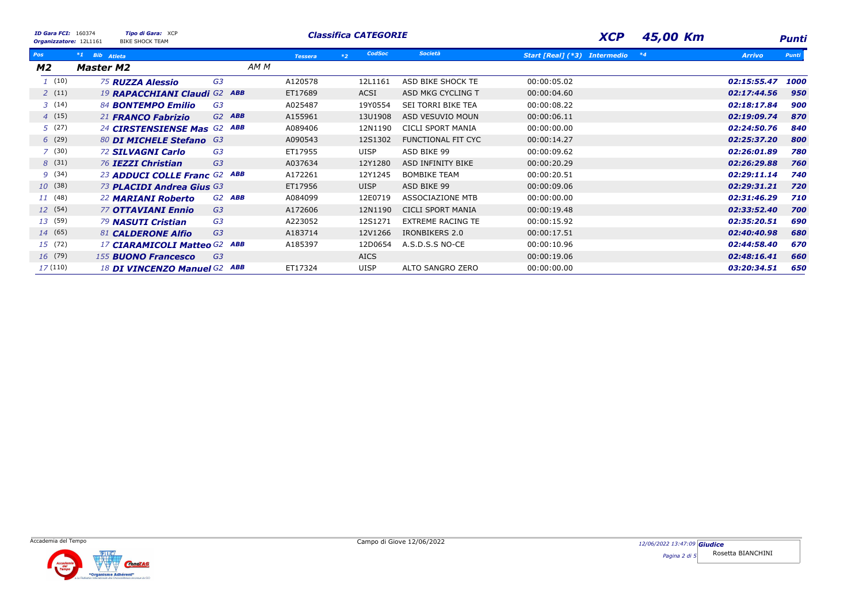| ID Gara FCI: 160374<br>Organizzatore: 12L1161 | Tipo di Gara: XCP<br><b>BIKE SHOCK TEAM</b> |                  |      |                | <b>Classifica CATEGORIE</b> |             |                          | <b>XCP</b>                          | 45,00 Km |      | Punti         |              |
|-----------------------------------------------|---------------------------------------------|------------------|------|----------------|-----------------------------|-------------|--------------------------|-------------------------------------|----------|------|---------------|--------------|
| Pos                                           | *1 Bib Atleta                               |                  |      | <b>Tessera</b> | $*2$                        | CodSoc      | Società                  | <b>Start [Real] (*3) Intermedio</b> |          | $*4$ | <b>Arrivo</b> | <b>Punti</b> |
| M2                                            | <b>Master M2</b>                            |                  | AM M |                |                             |             |                          |                                     |          |      |               |              |
| 1(10)                                         | 75 RUZZA Alessio                            | G3               |      | A120578        |                             | 12L1161     | ASD BIKE SHOCK TE        | 00:00:05.02                         |          |      | 02:15:55.47   | 1000         |
| 2(11)                                         | 19 RAPACCHIANI Claudi G2                    | ABB              |      | ET17689        |                             | <b>ACSI</b> | ASD MKG CYCLING T        | 00:00:04.60                         |          |      | 02:17:44.56   | 950          |
| 3(14)                                         | 84 <b>BONTEMPO Emilio</b>                   | G3               |      | A025487        |                             | 19Y0554     | SEI TORRI BIKE TEA       | 00:00:08.22                         |          |      | 02:18:17.84   | 900          |
| 4(15)                                         | 21 <b>FRANCO Fabrizio</b>                   | $G2$ ABB         |      | A155961        |                             | 13U1908     | ASD VESUVIO MOUN         | 00:00:06.11                         |          |      | 02:19:09.74   | 870          |
| 5(27)                                         | 24 CIRSTENSIENSE Mas G2                     | <b>ABB</b>       |      | A089406        |                             | 12N1190     | CICLI SPORT MANIA        | 00:00:00.00                         |          |      | 02:24:50.76   | 840          |
| 6(29)                                         | 80 DI MICHELE Stefano G3                    |                  |      | A090543        |                             | 12S1302     | FUNCTIONAL FIT CYC       | 00:00:14.27                         |          |      | 02:25:37.20   | 800          |
| 7(30)                                         | <b>72 SILVAGNI Carlo</b>                    | G3               |      | ET17955        |                             | <b>UISP</b> | ASD BIKE 99              | 00:00:09.62                         |          |      | 02:26:01.89   | 780          |
| 8(31)                                         | 76 IEZZI Christian                          | G <sub>3</sub>   |      | A037634        |                             | 12Y1280     | <b>ASD INFINITY BIKE</b> | 00:00:20.29                         |          |      | 02:26:29.88   | 760          |
| 9 (34)                                        | 23 ADDUCI COLLE Franc G2                    | ABB              |      | A172261        |                             | 12Y1245     | <b>BOMBIKE TEAM</b>      | 00:00:20.51                         |          |      | 02:29:11.14   | 740          |
| 10(38)                                        | 73 <b>PLACIDI Andrea Gius</b> G3            |                  |      | ET17956        |                             | <b>UISP</b> | ASD BIKE 99              | 00:00:09.06                         |          |      | 02:29:31.21   | 720          |
| 11(48)                                        | 22 MARIANI Roberto                          | G2<br><b>ABB</b> |      | A084099        |                             | 12E0719     | ASSOCIAZIONE MTB         | 00:00:00.00                         |          |      | 02:31:46.29   | 710          |
| 12(54)                                        | <b>77 OTTAVIANI Ennio</b>                   | G <sub>3</sub>   |      | A172606        |                             | 12N1190     | <b>CICLI SPORT MANIA</b> | 00:00:19.48                         |          |      | 02:33:52.40   | 700          |
| 13(59)                                        | 79 NASUTI Cristian                          | G3               |      | A223052        |                             | 12S1271     | <b>EXTREME RACING TE</b> | 00:00:15.92                         |          |      | 02:35:20.51   | 690          |
| 14(65)                                        | 81 CALDERONE Alfio                          | G <sub>3</sub>   |      | A183714        |                             | 12V1266     | <b>IRONBIKERS 2.0</b>    | 00:00:17.51                         |          |      | 02:40:40.98   | 680          |
| 15(72)                                        | 17 <b>CIARAMICOLI Matteo G2</b>             | <b>ABB</b>       |      | A185397        |                             | 12D0654     | A.S.D.S.S NO-CE          | 00:00:10.96                         |          |      | 02:44:58.40   | 670          |
| 16(79)                                        | 155 <b>BUONO Francesco</b>                  | G <sub>3</sub>   |      |                |                             | <b>AICS</b> |                          | 00:00:19.06                         |          |      | 02:48:16.41   | 660          |
| 17(110)                                       | 18 <b>DI VINCENZO Manuel G2</b>             | ABB              |      | ET17324        |                             | <b>UISP</b> | ALTO SANGRO ZERO         | 00:00:00.00                         |          |      | 03:20:34.51   | 650          |

Accademia del Tempo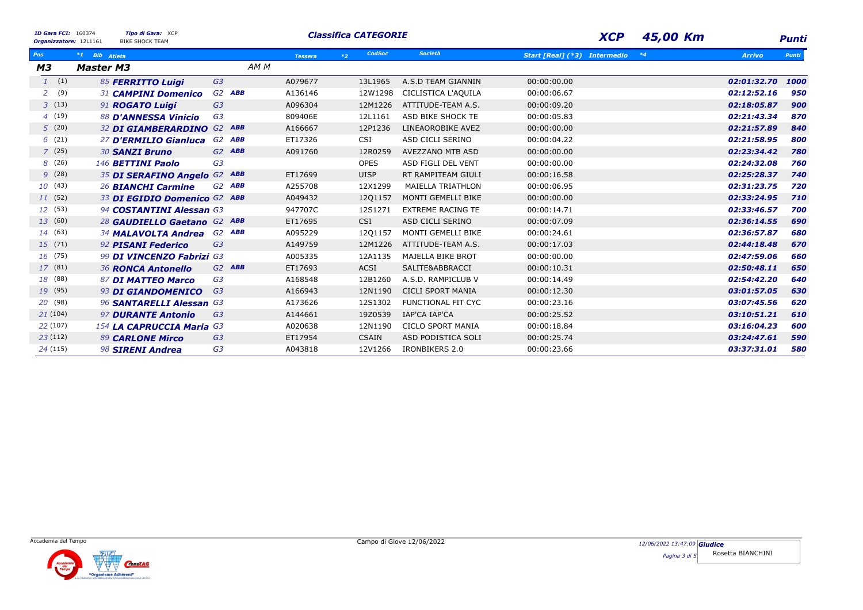| <b>ID Gara FCI: 160374</b><br>Tipo di Gara: XCP<br><b>BIKE SHOCK TEAM</b><br>Organizzatore: 12L1161 |                              |                |                    |                |      | <b>Classifica CATEGORIE</b> |                          |                                     | <b>XCP</b> | 45,00 Km |               | Punti |
|-----------------------------------------------------------------------------------------------------|------------------------------|----------------|--------------------|----------------|------|-----------------------------|--------------------------|-------------------------------------|------------|----------|---------------|-------|
| Pos                                                                                                 | *1 Bib Atleta                |                |                    | <b>Tessera</b> | $*2$ | CodSoc                      | <b>Società</b>           | <b>Start [Real] (*3) Intermedio</b> |            | $*4$     | <b>Arrivo</b> | Punti |
| M3                                                                                                  | <b>Master M3</b>             |                | AM M               |                |      |                             |                          |                                     |            |          |               |       |
| 1(1)                                                                                                | 85 <b>FERRITTO Luigi</b>     | G <sub>3</sub> |                    | A079677        |      | 13L1965                     | A.S.D TEAM GIANNIN       | 00:00:00.00                         |            |          | 02:01:32.70   | 1000  |
| (9)<br>2                                                                                            | 31 CAMPINI Domenico          |                | $G2$ ABB           | A136146        |      | 12W1298                     | CICLISTICA L'AQUILA      | 00:00:06.67                         |            |          | 02:12:52.16   | 950   |
| 3(13)                                                                                               | 91 ROGATO Luigi              | G <sub>3</sub> |                    | A096304        |      | 12M1226                     | ATTITUDE-TEAM A.S.       | 00:00:09.20                         |            |          | 02:18:05.87   | 900   |
| 4(19)                                                                                               | 88 D'ANNESSA Vinicio         | G3             |                    | 809406E        |      | 12L1161                     | ASD BIKE SHOCK TE        | 00:00:05.83                         |            |          | 02:21:43.34   | 870   |
| 5(20)                                                                                               | 32 DI GIAMBERARDINO          |                | $G2$ ABB           | A166667        |      | 12P1236                     | LINEAOROBIKE AVEZ        | 00:00:00.00                         |            |          | 02:21:57.89   | 840   |
| 6(21)                                                                                               | 27 D'ERMILIO Gianluca        |                | $G2$ ABB           | ET17326        |      | CSI                         | ASD CICLI SERINO         | 00:00:04.22                         |            |          | 02:21:58.95   | 800   |
| 7(25)                                                                                               | 30 SANZI Bruno               |                | G <sub>2</sub> ABB | A091760        |      | 12R0259                     | <b>AVEZZANO MTB ASD</b>  | 00:00:00.00                         |            |          | 02:23:34.42   | 780   |
| 8(26)                                                                                               | 146 <b>BETTINI Paolo</b>     | G <sub>3</sub> |                    |                |      | <b>OPES</b>                 | ASD FIGLI DEL VENT       | 00:00:00.00                         |            |          | 02:24:32.08   | 760   |
| 9(28)                                                                                               | 35 DI SERAFINO Angelo G2 ABB |                |                    | ET17699        |      | <b>UISP</b>                 | RT RAMPITEAM GIULI       | 00:00:16.58                         |            |          | 02:25:28.37   | 740   |
| 10(43)                                                                                              | 26 <b>BIANCHI Carmine</b>    |                | G <sub>2</sub> ABB | A255708        |      | 12X1299                     | <b>MAIELLA TRIATHLON</b> | 00:00:06.95                         |            |          | 02:31:23.75   | 720   |
| 11(52)                                                                                              | 33 DI EGIDIO Domenico G2 ABB |                |                    | A049432        |      | 12Q1157                     | MONTI GEMELLI BIKE       | 00:00:00.00                         |            |          | 02:33:24.95   | 710   |
| 12 (53)                                                                                             | 94 COSTANTINI Alessan G3     |                |                    | 947707C        |      | 12S1271                     | <b>EXTREME RACING TE</b> | 00:00:14.71                         |            |          | 02:33:46.57   | 700   |
| 13(60)                                                                                              | 28 GAUDIELLO Gaetano G2 ABB  |                |                    | ET17695        |      | <b>CSI</b>                  | ASD CICLI SERINO         | 00:00:07.09                         |            |          | 02:36:14.55   | 690   |
| 14(63)                                                                                              | 34 MALAVOLTA Andrea          |                | G <sub>2</sub> ABB | A095229        |      | 12Q1157                     | MONTI GEMELLI BIKE       | 00:00:24.61                         |            |          | 02:36:57.87   | 680   |
| 15(71)                                                                                              | 92 PISANI Federico           | G <sub>3</sub> |                    | A149759        |      | 12M1226                     | ATTITUDE-TEAM A.S.       | 00:00:17.03                         |            |          | 02:44:18.48   | 670   |
| 16(75)                                                                                              | 99 DI VINCENZO Fabrizi G3    |                |                    | A005335        |      | 12A1135                     | MAJELLA BIKE BROT        | 00:00:00.00                         |            |          | 02:47:59.06   | 660   |
| 17(81)                                                                                              | 36 RONCA Antonello           |                | $G2$ ABB           | ET17693        |      | ACSI                        | SALITE&ABBRACCI          | 00:00:10.31                         |            |          | 02:50:48.11   | 650   |
| 18 (88)                                                                                             | 87 DI MATTEO Marco           | G <sub>3</sub> |                    | A168548        |      | 12B1260                     | A.S.D. RAMPICLUB V       | 00:00:14.49                         |            |          | 02:54:42.20   | 640   |
| 19 (95)                                                                                             | 93 DI GIANDOMENICO           | G <sub>3</sub> |                    | A166943        |      | 12N1190                     | <b>CICLI SPORT MANIA</b> | 00:00:12.30                         |            |          | 03:01:57.05   | 630   |
| 20 (98)                                                                                             | 96 SANTARELLI Alessan G3     |                |                    | A173626        |      | 12S1302                     | FUNCTIONAL FIT CYC       | 00:00:23.16                         |            |          | 03:07:45.56   | 620   |
| 21(104)                                                                                             | 97 <b>DURANTE Antonio</b>    | G <sub>3</sub> |                    | A144661        |      | 19Z0539                     | IAP'CA IAP'CA            | 00:00:25.52                         |            |          | 03:10:51.21   | 610   |
| 22 (107)                                                                                            | 154 LA CAPRUCCIA Maria G3    |                |                    | A020638        |      | 12N1190                     | <b>CICLO SPORT MANIA</b> | 00:00:18.84                         |            |          | 03:16:04.23   | 600   |
| 23(112)                                                                                             | 89 CARLONE Mirco             | G <sub>3</sub> |                    | ET17954        |      | <b>CSAIN</b>                | ASD PODISTICA SOLI       | 00:00:25.74                         |            |          | 03:24:47.61   | 590   |
| 24 (115)                                                                                            | 98 SIRENI Andrea             | G3             |                    | A043818        |      | 12V1266                     | <b>IRONBIKERS 2.0</b>    | 00:00:23.66                         |            |          | 03:37:31.01   | 580   |

Accademia del Tempo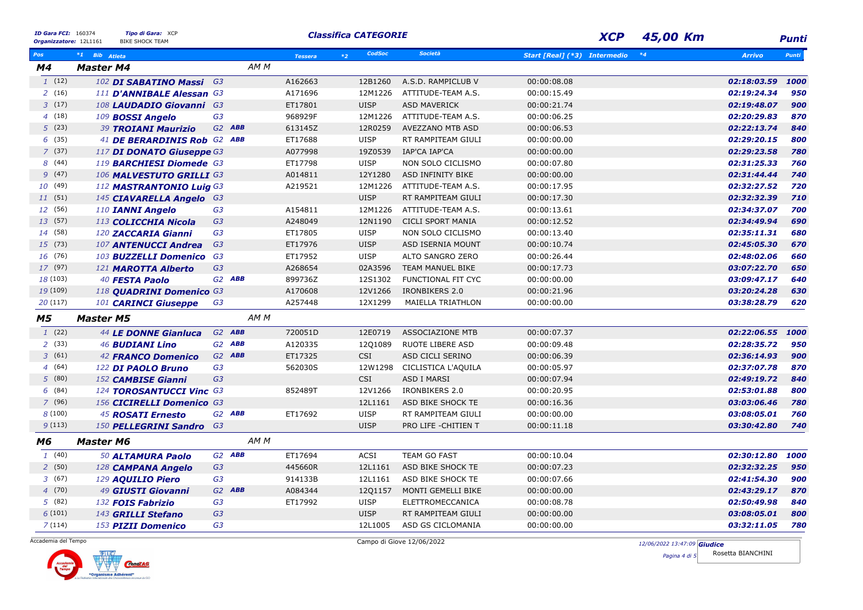| ID Gara FCI: 160374<br>Organizzatore: 12L1161 |                  | Tipo di Gara: XCP<br><b>BIKE SHOCK TEAM</b> |                |                    |                | <b>Classifica CATEGORIE</b> |                           |                              | <b>XCP</b> | 45,00 Km                    |                  | <b>Punti</b> |
|-----------------------------------------------|------------------|---------------------------------------------|----------------|--------------------|----------------|-----------------------------|---------------------------|------------------------------|------------|-----------------------------|------------------|--------------|
| Pos                                           | *1 Bib Atleta    |                                             |                |                    | <b>Tessera</b> | CodSoc<br>$*2$              | Società                   | Start [Real] (*3) Intermedio |            | $*4$                        | <b>Arrivo</b>    | <b>Punti</b> |
| M4                                            | <b>Master M4</b> |                                             |                | AM M               |                |                             |                           |                              |            |                             |                  |              |
| 1(12)                                         |                  | 102 DI SABATINO Massi G3                    |                |                    | A162663        | 12B1260                     | A.S.D. RAMPICLUB V        | 00:00:08.08                  |            |                             | 02:18:03.59 1000 |              |
| 2(16)                                         |                  | 111 D'ANNIBALE Alessan G3                   |                |                    | A171696        | 12M1226                     | ATTITUDE-TEAM A.S.        | 00:00:15.49                  |            |                             | 02:19:24.34      | 950          |
| 3(17)                                         |                  | 108 LAUDADIO Giovanni G3                    |                |                    | ET17801        | <b>UISP</b>                 | <b>ASD MAVERICK</b>       | 00:00:21.74                  |            |                             | 02:19:48.07      | 900          |
| 4(18)                                         |                  | 109 <b>BOSSI Angelo</b>                     | G3             |                    | 968929F        | 12M1226                     | ATTITUDE-TEAM A.S.        | 00:00:06.25                  |            |                             | 02:20:29.83      | 870          |
| 5(23)                                         |                  | 39 TROIANI Maurizio                         |                | G <sub>2</sub> ABB | 613145Z        | 12R0259                     | AVEZZANO MTB ASD          | 00:00:06.53                  |            |                             | 02:22:13.74      | 840          |
| 6(35)                                         |                  | 41 DE BERARDINIS Rob G2 ABB                 |                |                    | ET17688        | <b>UISP</b>                 | RT RAMPITEAM GIULI        | 00:00:00.00                  |            |                             | 02:29:20.15      | 800          |
| 7(37)                                         |                  | 117 DI DONATO Giuseppe G3                   |                |                    | A077998        | 19Z0539                     | IAP'CA IAP'CA             | 00:00:00.00                  |            |                             | 02:29:23.58      | 780          |
| 8(44)                                         |                  | 119 <b>BARCHIESI Diomede</b> G3             |                |                    | ET17798        | <b>UISP</b>                 | NON SOLO CICLISMO         | 00:00:07.80                  |            |                             | 02:31:25.33      | 760          |
| 9(47)                                         |                  | 106 MALVESTUTO GRILLI G3                    |                |                    | A014811        | 12Y1280                     | ASD INFINITY BIKE         | 00:00:00.00                  |            |                             | 02:31:44.44      | 740          |
| 10 (49)                                       |                  | 112 MASTRANTONIO Luig G3                    |                |                    | A219521        | 12M1226                     | ATTITUDE-TEAM A.S.        | 00:00:17.95                  |            |                             | 02:32:27.52      | 720          |
| 11 (51)                                       |                  | 145 CIAVARELLA Angelo G3                    |                |                    |                | <b>UISP</b>                 | RT RAMPITEAM GIULI        | 00:00:17.30                  |            |                             | 02:32:32.39      | 710          |
| 12 (56)                                       |                  | 110 IANNI Angelo                            | G3             |                    | A154811        | 12M1226                     | ATTITUDE-TEAM A.S.        | 00:00:13.61                  |            |                             | 02:34:37.07      | 700          |
| 13(57)                                        |                  | 113 COLICCHIA Nicola                        | G <sub>3</sub> |                    | A248049        | 12N1190                     | <b>CICLI SPORT MANIA</b>  | 00:00:12.52                  |            |                             | 02:34:49.94      | 690          |
| 14 (58)                                       |                  | 120 ZACCARIA Gianni                         | G <sub>3</sub> |                    | ET17805        | <b>UISP</b>                 | NON SOLO CICLISMO         | 00:00:13.40                  |            |                             | 02:35:11.31      | 680          |
| 15(73)                                        |                  | 107 <b>ANTENUCCI Andrea</b>                 | G <sub>3</sub> |                    | ET17976        | <b>UISP</b>                 | ASD ISERNIA MOUNT         | 00:00:10.74                  |            |                             | 02:45:05.30      | 670          |
| 16 (76)                                       |                  | 103 <b>BUZZELLI Domenico</b>                | G3             |                    | ET17952        | <b>UISP</b>                 | ALTO SANGRO ZERO          | 00:00:26.44                  |            |                             | 02:48:02.06      | 660          |
| 17 (97)                                       |                  | 121 MAROTTA Alberto                         | G <sub>3</sub> |                    | A268654        | 02A3596                     | TEAM MANUEL BIKE          | 00:00:17.73                  |            |                             | 03:07:22.70      | 650          |
| 18 (103)                                      |                  | 40 FESTA Paolo                              |                | $G2$ ABB           | 899736Z        | 12S1302                     | FUNCTIONAL FIT CYC        | 00:00:00.00                  |            |                             | 03:09:47.17      | 640          |
| 19 (109)                                      |                  | 118 QUADRINI Domenico G3                    |                |                    | A170608        | 12V1266                     | <b>IRONBIKERS 2.0</b>     | 00:00:21.96                  |            |                             | 03:20:24.28      | 630          |
| 20(117)                                       |                  | 101 CARINCI Giuseppe                        | G3             |                    | A257448        | 12X1299                     | <b>MAIELLA TRIATHLON</b>  | 00:00:00.00                  |            |                             | 03:38:28.79      | 620          |
| M5                                            | <b>Master M5</b> |                                             |                | AM <sub>M</sub>    |                |                             |                           |                              |            |                             |                  |              |
| 1(22)                                         |                  | 44 LE DONNE Gianluca                        |                | $G2$ ABB           | 720051D        | 12E0719                     | <b>ASSOCIAZIONE MTB</b>   | 00:00:07.37                  |            |                             | 02:22:06.55      | 1000         |
| 2(33)                                         |                  | 46 <b>BUDIANI Lino</b>                      |                | $G2$ ABB           | A120335        | 12Q1089                     | RUOTE LIBERE ASD          | 00:00:09.48                  |            |                             | 02:28:35.72      | 950          |
| 3(61)                                         |                  | 42 <b>FRANCO Domenico</b>                   |                | G <sub>2</sub> ABB | ET17325        | <b>CSI</b>                  | ASD CICLI SERINO          | 00:00:06.39                  |            |                             | 02:36:14.93      | 900          |
| 4(64)                                         |                  | 122 DI PAOLO Bruno                          | G <sub>3</sub> |                    | 562030S        | 12W1298                     | CICLISTICA L'AQUILA       | 00:00:05.97                  |            |                             | 02:37:07.78      | 870          |
| 5(80)                                         |                  | 152 CAMBISE Gianni                          | G <sub>3</sub> |                    |                | <b>CSI</b>                  | <b>ASD I MARSI</b>        | 00:00:07.94                  |            |                             | 02:49:19.72      | 840          |
| 6(84)                                         |                  | 124 TOROSANTUCCI Vinc G3                    |                |                    | 852489T        | 12V1266                     | <b>IRONBIKERS 2.0</b>     | 00:00:20.95                  |            |                             | 02:53:01.88      | 800          |
| 7(96)                                         |                  | 156 CICIRELLI Domenico G3                   |                |                    |                | 12L1161                     | ASD BIKE SHOCK TE         | 00:00:16.36                  |            |                             | 03:03:06.46      | 780          |
| 8(100)                                        |                  | <b>45 ROSATI Ernesto</b>                    |                | $G2$ ABB           | ET17692        | <b>UISP</b>                 | RT RAMPITEAM GIULI        | 00:00:00.00                  |            |                             | 03:08:05.01      | 760          |
| 9(113)                                        |                  | 150 PELLEGRINI Sandro G3                    |                |                    |                | <b>UISP</b>                 | PRO LIFE - CHITIEN T      | 00:00:11.18                  |            |                             | 03:30:42.80      | 740          |
| M6                                            | Master M6        |                                             |                | AM M               |                |                             |                           |                              |            |                             |                  |              |
| 1(40)                                         |                  | 50 ALTAMURA Paolo                           |                | G <sub>2</sub> ABB | ET17694        | <b>ACSI</b>                 | <b>TEAM GO FAST</b>       | 00:00:10.04                  |            |                             | 02:30:12.80      | 1000         |
| 2(50)                                         |                  | 128 CAMPANA Angelo                          | G <sub>3</sub> |                    | 445660R        | 12L1161                     | ASD BIKE SHOCK TE         | 00:00:07.23                  |            |                             | 02:32:32.25      | 950          |
| 3(67)                                         |                  | 129 AQUILIO Piero                           | G <sub>3</sub> |                    | 914133B        | 12L1161                     | ASD BIKE SHOCK TE         | 00:00:07.66                  |            |                             | 02:41:54.30      | 900          |
| 4 (70)                                        |                  | 49 GIUSTI Giovanni                          |                | $G2$ ABB           | A084344        | 12Q1157                     | MONTI GEMELLI BIKE        | 00:00:00.00                  |            |                             | 02:43:29.17      | 870          |
| 5(82)                                         |                  | 132 <b>FOIS Fabrizio</b>                    | G <sub>3</sub> |                    | ET17992        | <b>UISP</b>                 | ELETTROMECCANICA          | 00:00:08.78                  |            |                             | 02:50:49.98      | 840          |
| 6(101)                                        |                  | 143 GRILLI Stefano                          | G <sub>3</sub> |                    |                | <b>UISP</b>                 | RT RAMPITEAM GIULI        | 00:00:00.00                  |            |                             | 03:08:05.01      | 800          |
| 7(114)                                        |                  | 153 PIZII Domenico                          | G3             |                    |                | 12L1005                     | ASD GS CICLOMANIA         | 00:00:00.00                  |            |                             | 03:32:11.05      | 780          |
| Accademia del Tempo                           |                  |                                             |                |                    |                |                             | Campo di Giove 12/06/2022 |                              |            | 12/06/2022 13:47:09 Giudice |                  |              |



*Pagina 4 di 5*Rosetta BIANCHINI